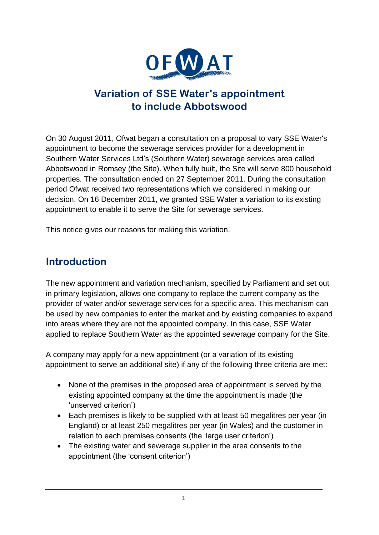

## **Variation of SSE Water's appointment to include Abbotswood**

On 30 August 2011, Ofwat began a consultation on a proposal to vary SSE Water's appointment to become the sewerage services provider for a development in Southern Water Services Ltd's (Southern Water) sewerage services area called Abbotswood in Romsey (the Site). When fully built, the Site will serve 800 household properties. The consultation ended on 27 September 2011. During the consultation period Ofwat received two representations which we considered in making our decision. On 16 December 2011, we granted SSE Water a variation to its existing appointment to enable it to serve the Site for sewerage services.

This notice gives our reasons for making this variation.

# **Introduction**

The new appointment and variation mechanism, specified by Parliament and set out in primary legislation, allows one company to replace the current company as the provider of water and/or sewerage services for a specific area. This mechanism can be used by new companies to enter the market and by existing companies to expand into areas where they are not the appointed company. In this case, SSE Water applied to replace Southern Water as the appointed sewerage company for the Site.

A company may apply for a new appointment (or a variation of its existing appointment to serve an additional site) if any of the following three criteria are met:

- None of the premises in the proposed area of appointment is served by the existing appointed company at the time the appointment is made (the 'unserved criterion')
- Each premises is likely to be supplied with at least 50 megalitres per year (in England) or at least 250 megalitres per year (in Wales) and the customer in relation to each premises consents (the 'large user criterion')
- The existing water and sewerage supplier in the area consents to the appointment (the 'consent criterion')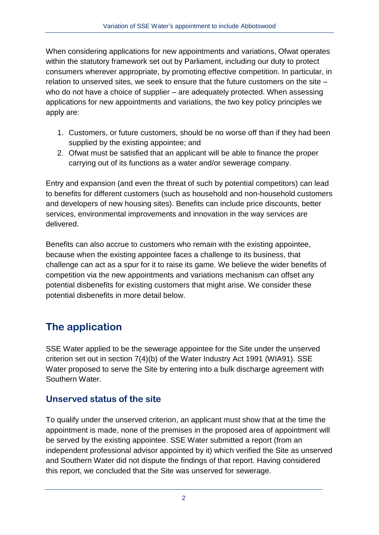When considering applications for new appointments and variations, Ofwat operates within the statutory framework set out by Parliament, including our duty to protect consumers wherever appropriate, by promoting effective competition. In particular, in relation to unserved sites, we seek to ensure that the future customers on the site – who do not have a choice of supplier – are adequately protected. When assessing applications for new appointments and variations, the two key policy principles we apply are:

- 1. Customers, or future customers, should be no worse off than if they had been supplied by the existing appointee; and
- 2. Ofwat must be satisfied that an applicant will be able to finance the proper carrying out of its functions as a water and/or sewerage company.

Entry and expansion (and even the threat of such by potential competitors) can lead to benefits for different customers (such as household and non-household customers and developers of new housing sites). Benefits can include price discounts, better services, environmental improvements and innovation in the way services are delivered.

Benefits can also accrue to customers who remain with the existing appointee, because when the existing appointee faces a challenge to its business, that challenge can act as a spur for it to raise its game. We believe the wider benefits of competition via the new appointments and variations mechanism can offset any potential disbenefits for existing customers that might arise. We consider these potential disbenefits in more detail below.

# **The application**

SSE Water applied to be the sewerage appointee for the Site under the unserved criterion set out in section 7(4)(b) of the Water Industry Act 1991 (WIA91). SSE Water proposed to serve the Site by entering into a bulk discharge agreement with Southern Water.

### **Unserved status of the site**

To qualify under the unserved criterion, an applicant must show that at the time the appointment is made, none of the premises in the proposed area of appointment will be served by the existing appointee. SSE Water submitted a report (from an independent professional advisor appointed by it) which verified the Site as unserved and Southern Water did not dispute the findings of that report. Having considered this report, we concluded that the Site was unserved for sewerage.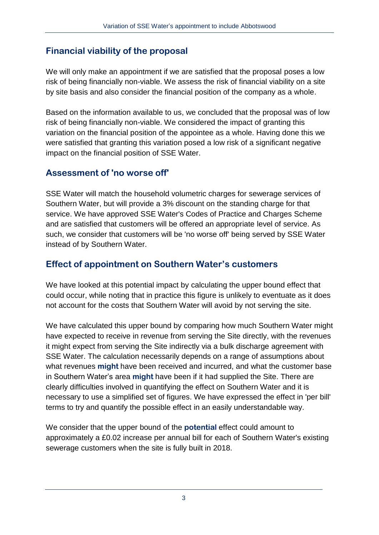### **Financial viability of the proposal**

We will only make an appointment if we are satisfied that the proposal poses a low risk of being financially non-viable. We assess the risk of financial viability on a site by site basis and also consider the financial position of the company as a whole.

Based on the information available to us, we concluded that the proposal was of low risk of being financially non-viable. We considered the impact of granting this variation on the financial position of the appointee as a whole. Having done this we were satisfied that granting this variation posed a low risk of a significant negative impact on the financial position of SSE Water.

#### **Assessment of 'no worse off'**

SSE Water will match the household volumetric charges for sewerage services of Southern Water, but will provide a 3% discount on the standing charge for that service. We have approved SSE Water's Codes of Practice and Charges Scheme and are satisfied that customers will be offered an appropriate level of service. As such, we consider that customers will be 'no worse off' being served by SSE Water instead of by Southern Water.

### **Effect of appointment on Southern Water's customers**

We have looked at this potential impact by calculating the upper bound effect that could occur, while noting that in practice this figure is unlikely to eventuate as it does not account for the costs that Southern Water will avoid by not serving the site.

We have calculated this upper bound by comparing how much Southern Water might have expected to receive in revenue from serving the Site directly, with the revenues it might expect from serving the Site indirectly via a bulk discharge agreement with SSE Water. The calculation necessarily depends on a range of assumptions about what revenues **might** have been received and incurred, and what the customer base in Southern Water's area **might** have been if it had supplied the Site. There are clearly difficulties involved in quantifying the effect on Southern Water and it is necessary to use a simplified set of figures. We have expressed the effect in 'per bill' terms to try and quantify the possible effect in an easily understandable way.

We consider that the upper bound of the **potential** effect could amount to approximately a £0.02 increase per annual bill for each of Southern Water's existing sewerage customers when the site is fully built in 2018.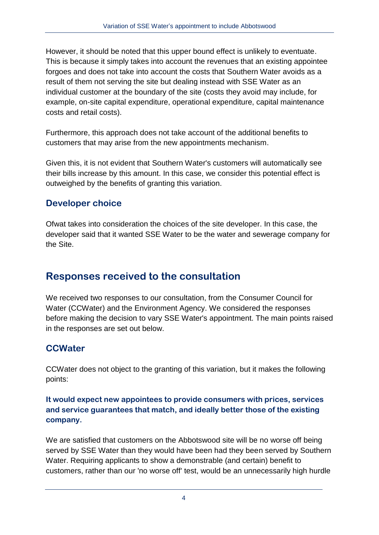However, it should be noted that this upper bound effect is unlikely to eventuate. This is because it simply takes into account the revenues that an existing appointee forgoes and does not take into account the costs that Southern Water avoids as a result of them not serving the site but dealing instead with SSE Water as an individual customer at the boundary of the site (costs they avoid may include, for example, on-site capital expenditure, operational expenditure, capital maintenance costs and retail costs).

Furthermore, this approach does not take account of the additional benefits to customers that may arise from the new appointments mechanism.

Given this, it is not evident that Southern Water's customers will automatically see their bills increase by this amount. In this case, we consider this potential effect is outweighed by the benefits of granting this variation.

#### **Developer choice**

Ofwat takes into consideration the choices of the site developer. In this case, the developer said that it wanted SSE Water to be the water and sewerage company for the Site.

## **Responses received to the consultation**

We received two responses to our consultation, from the Consumer Council for Water (CCWater) and the Environment Agency. We considered the responses before making the decision to vary SSE Water's appointment. The main points raised in the responses are set out below.

### **CCWater**

CCWater does not object to the granting of this variation, but it makes the following points:

#### **It would expect new appointees to provide consumers with prices, services and service guarantees that match, and ideally better those of the existing company.**

We are satisfied that customers on the Abbotswood site will be no worse off being served by SSE Water than they would have been had they been served by Southern Water. Requiring applicants to show a demonstrable (and certain) benefit to customers, rather than our 'no worse off' test, would be an unnecessarily high hurdle